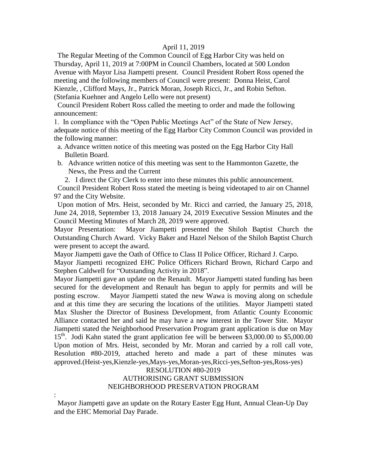#### April 11, 2019

 The Regular Meeting of the Common Council of Egg Harbor City was held on Thursday, April 11, 2019 at 7:00PM in Council Chambers, located at 500 London Avenue with Mayor Lisa Jiampetti present. Council President Robert Ross opened the meeting and the following members of Council were present: Donna Heist, Carol Kienzle, , Clifford Mays, Jr., Patrick Moran, Joseph Ricci, Jr., and Robin Sefton. (Stefania Kuehner and Angelo Lello were not present)

 Council President Robert Ross called the meeting to order and made the following announcement:

1. In compliance with the "Open Public Meetings Act" of the State of New Jersey, adequate notice of this meeting of the Egg Harbor City Common Council was provided in the following manner:

- a. Advance written notice of this meeting was posted on the Egg Harbor City Hall Bulletin Board.
- b. Advance written notice of this meeting was sent to the Hammonton Gazette, the News, the Press and the Current

2. I direct the City Clerk to enter into these minutes this public announcement.

 Council President Robert Ross stated the meeting is being videotaped to air on Channel 97 and the City Website.

 Upon motion of Mrs. Heist, seconded by Mr. Ricci and carried, the January 25, 2018, June 24, 2018, September 13, 2018 January 24, 2019 Executive Session Minutes and the Council Meeting Minutes of March 28, 2019 were approved.

Mayor Presentation: Mayor Jiampetti presented the Shiloh Baptist Church the Outstanding Church Award. Vicky Baker and Hazel Nelson of the Shiloh Baptist Church were present to accept the award.

Mayor Jiampetti gave the Oath of Office to Class II Police Officer, Richard J. Carpo. Mayor Jiampetti recognized EHC Police Officers Richard Brown, Richard Carpo and Stephen Caldwell for "Outstanding Activity in 2018".

Mayor Jiampetti gave an update on the Renault. Mayor Jiampetti stated funding has been secured for the development and Renault has begun to apply for permits and will be posting escrow. Mayor Jiampetti stated the new Wawa is moving along on schedule and at this time they are securing the locations of the utilities. Mayor Jiampetti stated Max Slusher the Director of Business Development, from Atlantic County Economic Alliance contacted her and said he may have a new interest in the Tower Site. Mayor Jiampetti stated the Neighborhood Preservation Program grant application is due on May 15<sup>th</sup>. Jodi Kahn stated the grant application fee will be between \$3,000.00 to \$5,000.00 Upon motion of Mrs. Heist, seconded by Mr. Moran and carried by a roll call vote, Resolution #80-2019, attached hereto and made a part of these minutes was approved.(Heist-yes,Kienzle-yes,Mays-yes,Moran-yes,Ricci-yes,Sefton-yes,Ross-yes)

### RESOLUTION #80-2019

## AUTHORISING GRANT SUBMISSION NEIGHBORHOOD PRESERVATION PROGRAM

 Mayor Jiampetti gave an update on the Rotary Easter Egg Hunt, Annual Clean-Up Day and the EHC Memorial Day Parade.

: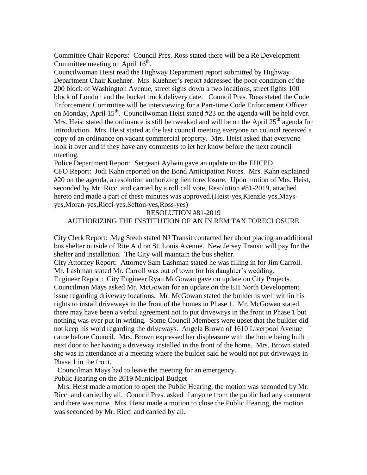Committee Chair Reports: Council Pres. Ross stated there will be a Re Development Committee meeting on April  $16<sup>th</sup>$ .

Councilwoman Heist read the Highway Department report submitted by Highway Department Chair Kuehner. Mrs. Kuehner's report addressed the poor condition of the 200 block of Washington Avenue, street signs down a two locations, street lights 100 block of London and the bucket truck delivery date. Council Pres. Ross stated the Code Enforcement Committee will be interviewing for a Part-time Code Enforcement Officer on Monday, April 15<sup>th</sup>. Councilwoman Heist stated #23 on the agenda will be held over. Mrs. Heist stated the ordinance is still be tweaked and will be on the April  $25<sup>th</sup>$  agenda for introduction. Mrs. Heist stated at the last council meeting everyone on council received a copy of an ordinance on vacant commercial property. Mrs. Heist asked that everyone look it over and if they have any comments to let her know before the next council meeting.

Police Department Report: Sergeant Aylwin gave an update on the EHCPD. CFO Report: Jodi Kahn reported on the Bond Anticipation Notes. Mrs. Kahn explained #20 on the agenda, a resolution authorizing lien foreclosure. Upon motion of Mrs. Heist, seconded by Mr. Ricci and carried by a roll call vote, Resolution #81-2019, attached hereto and made a part of these minutes was approved.(Heist-yes,Kienzle-yes,Maysyes,Moran-yes,Ricci-yes,Sefton-yes,Ross-yes)

#### RESOLUTION #81-2019

### AUTHORIZING THE INSTITUTION OF AN IN REM TAX FORECLOSURE

City Clerk Report: Meg Steeb stated NJ Transit contacted her about placing an additional bus shelter outside of Rite Aid on St. Louis Avenue. New Jersey Transit will pay for the shelter and installation. The City will maintain the bus shelter.

City Attorney Report: Attorney Sam Lashman stated he was filling in for Jim Carroll. Mr. Lashman stated Mr. Carroll was out of town for his daughter's wedding. Engineer Report: City Engineer Ryan McGowan gave on update on City Projects. Councilman Mays asked Mr. McGowan for an update on the EH North Development issue regarding driveway locations. Mr. McGowan stated the builder is well within his rights to install driveways in the front of the homes in Phase 1. Mr. McGowan stated there may have been a verbal agreement not to put driveways in the front in Phase 1 but nothing was ever put in writing. Some Council Members were upset that the builder did not keep his word regarding the driveways. Angela Brown of 1610 Liverpool Avenue came before Council. Mrs. Brown expressed her displeasure with the home being built next door to her having a driveway installed in the front of the home. Mrs. Brown stated she was in attendance at a meeting where the builder said he would not put driveways in Phase 1 in the front.

Councilman Mays had to leave the meeting for an emergency.

Public Hearing on the 2019 Municipal Budget

 Mrs. Heist made a motion to open the Public Hearing, the motion was seconded by Mr. Ricci and carried by all. Council Pres. asked if anyone from the public had any comment and there was none. Mrs. Heist made a motion to close the Public Hearing, the motion was seconded by Mr. Ricci and carried by all.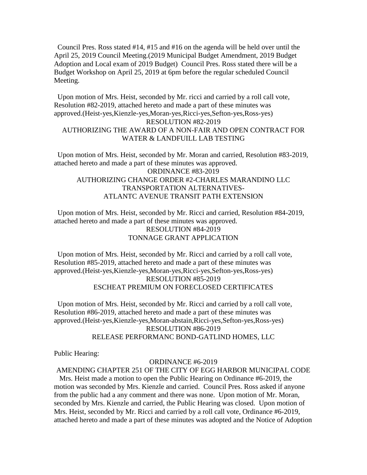Council Pres. Ross stated #14, #15 and #16 on the agenda will be held over until the April 25, 2019 Council Meeting.(2019 Municipal Budget Amendment, 2019 Budget Adoption and Local exam of 2019 Budget) Council Pres. Ross stated there will be a Budget Workshop on April 25, 2019 at 6pm before the regular scheduled Council Meeting.

# Upon motion of Mrs. Heist, seconded by Mr. ricci and carried by a roll call vote, Resolution #82-2019, attached hereto and made a part of these minutes was approved.(Heist-yes,Kienzle-yes,Moran-yes,Ricci-yes,Sefton-yes,Ross-yes) RESOLUTION #82-2019 AUTHORIZING THE AWARD OF A NON-FAIR AND OPEN CONTRACT FOR WATER & LANDFUILL LAB TESTING

 Upon motion of Mrs. Heist, seconded by Mr. Moran and carried, Resolution #83-2019, attached hereto and made a part of these minutes was approved. ORDINANCE #83-2019 AUTHORIZING CHANGE ORDER #2-CHARLES MARANDINO LLC TRANSPORTATION ALTERNATIVES-ATLANTC AVENUE TRANSIT PATH EXTENSION

 Upon motion of Mrs. Heist, seconded by Mr. Ricci and carried, Resolution #84-2019, attached hereto and made a part of these minutes was approved. RESOLUTION #84-2019 TONNAGE GRANT APPLICATION

 Upon motion of Mrs. Heist, seconded by Mr. Ricci and carried by a roll call vote, Resolution #85-2019, attached hereto and made a part of these minutes was approved.(Heist-yes,Kienzle-yes,Moran-yes,Ricci-yes,Sefton-yes,Ross-yes) RESOLUTION #85-2019 ESCHEAT PREMIUM ON FORECLOSED CERTIFICATES

 Upon motion of Mrs. Heist, seconded by Mr. Ricci and carried by a roll call vote, Resolution #86-2019, attached hereto and made a part of these minutes was approved.(Heist-yes,Kienzle-yes,Moran-abstain,Ricci-yes,Sefton-yes,Ross-yes) RESOLUTION #86-2019 RELEASE PERFORMANC BOND-GATLIND HOMES, LLC

Public Hearing:

#### ORDINANCE #6-2019

AMENDING CHAPTER 251 OF THE CITY OF EGG HARBOR MUNICIPAL CODE

 Mrs. Heist made a motion to open the Public Hearing on Ordinance #6-2019, the motion was seconded by Mrs. Kienzle and carried. Council Pres. Ross asked if anyone from the public had a any comment and there was none. Upon motion of Mr. Moran, seconded by Mrs. Kienzle and carried, the Public Hearing was closed. Upon motion of Mrs. Heist, seconded by Mr. Ricci and carried by a roll call vote, Ordinance #6-2019, attached hereto and made a part of these minutes was adopted and the Notice of Adoption